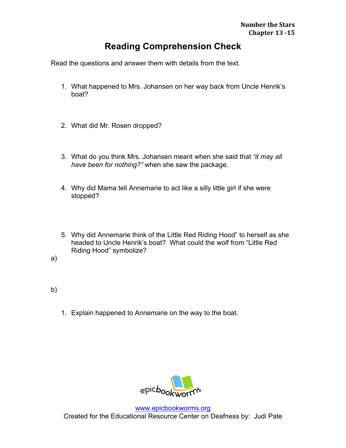## **Reading Comprehension Check**

Read the questions and answer them with details from the text.

- 1. What happened to Mrs. Johansen on her way back from Uncle Henrik's boat?
- 2. What did Mr. Rosen dropped?
- 3. What do you think Mrs. Johansen meant when she said that *"it may all have been for nothing?"* when she saw the package.
- 4. Why did Mama tell Annemarie to act like a silly little girl if she were stopped?
- 5. Why did Annemarie think of the Little Red Riding Hood" to herself as she headed to Uncle Henrik's boat? What could the wolf from "Little Red Riding Hood" symbolize?
- a)
- b)
- 1. Explain happened to Annemarie on the way to the boat.



www.epicbookworms.org Created for the Educational Resource Center on Deafness by: Judi Pate